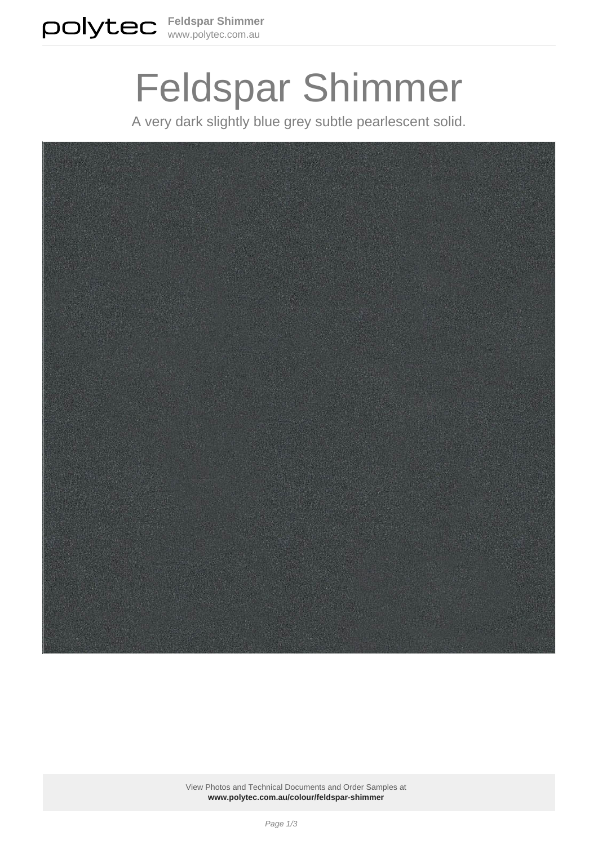

# Feldspar Shimmer

A very dark slightly blue grey subtle pearlescent solid.



View Photos and Technical Documents and Order Samples at **[www.polytec.com.au/colour/feldspar-shimmer](https://www.polytec.com.au/colour/feldspar-shimmer/)**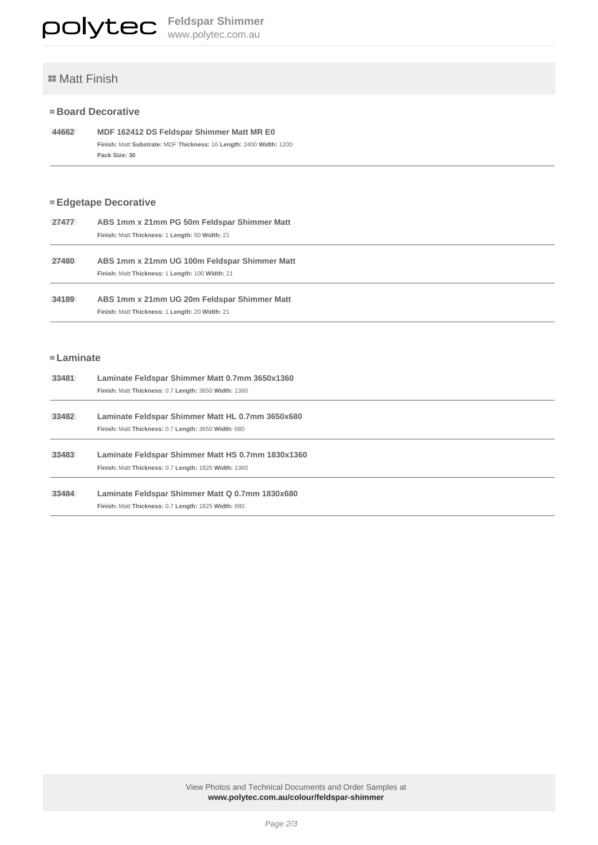# **E** Matt Finish

### **Board Decorative**

```
 44662 MDF 162412 DS Feldspar Shimmer Matt MR E0
Finish: Matt Substrate: MDF Thickness: 16 Length: 2400 Width: 1200 
Pack Size: 30
```
## **Edgetape Decorative**

| 27477 | ABS 1mm x 21mm PG 50m Feldspar Shimmer Matt<br>Finish: Matt Thickness: 1 Length: 50 Width: 21   |
|-------|-------------------------------------------------------------------------------------------------|
| 27480 | ABS 1mm x 21mm UG 100m Feldspar Shimmer Matt<br>Finish: Matt Thickness: 1 Length: 100 Width: 21 |
| 34189 | ABS 1mm x 21mm UG 20m Feldspar Shimmer Matt<br>Finish: Matt Thickness: 1 Length: 20 Width: 21   |

#### **Laminate**

| 33481 | Laminate Feldspar Shimmer Matt 0.7mm 3650x1360       |
|-------|------------------------------------------------------|
|       | Finish: Matt Thickness: 0.7 Length: 3650 Width: 1360 |
|       |                                                      |
| 33482 | Laminate Feldspar Shimmer Matt HL 0.7mm 3650x680     |
|       | Finish: Matt Thickness: 0.7 Length: 3650 Width: 680  |
|       |                                                      |
| 33483 | Laminate Feldspar Shimmer Matt HS 0.7mm 1830x1360    |
|       | Finish: Matt Thickness: 0.7 Length: 1825 Width: 1360 |
|       |                                                      |
| 33484 | Laminate Feldspar Shimmer Matt Q 0.7mm 1830x680      |
|       | Finish: Matt Thickness: 0.7 Length: 1825 Width: 680  |